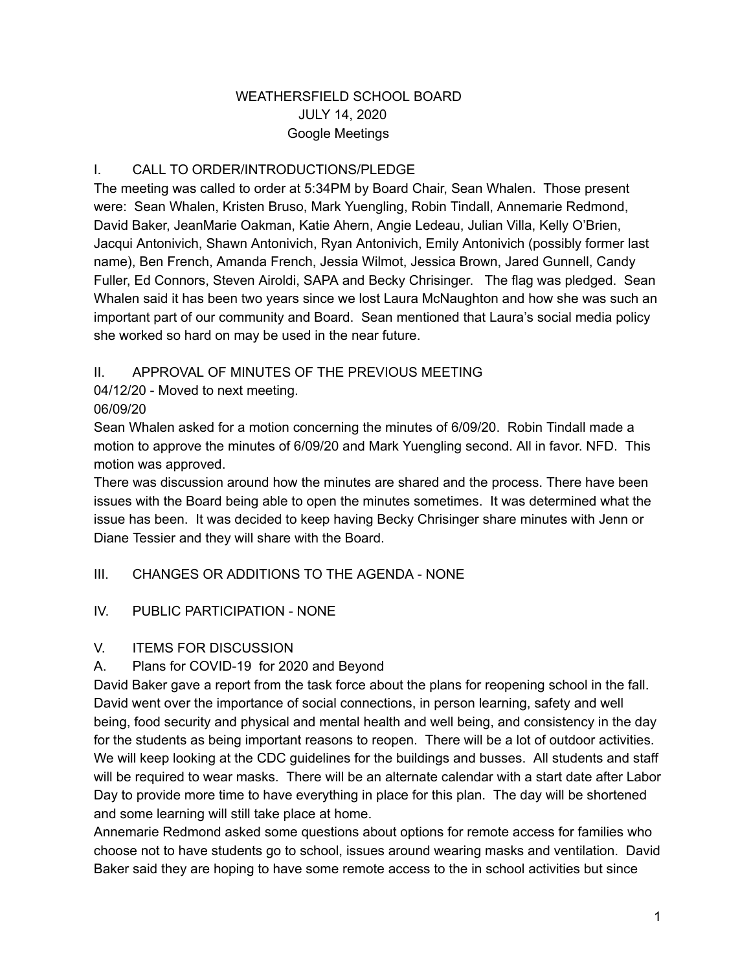#### WEATHERSFIELD SCHOOL BOARD JULY 14, 2020 Google Meetings

#### I. CALL TO ORDER/INTRODUCTIONS/PLEDGE

The meeting was called to order at 5:34PM by Board Chair, Sean Whalen. Those present were: Sean Whalen, Kristen Bruso, Mark Yuengling, Robin Tindall, Annemarie Redmond, David Baker, JeanMarie Oakman, Katie Ahern, Angie Ledeau, Julian Villa, Kelly O'Brien, Jacqui Antonivich, Shawn Antonivich, Ryan Antonivich, Emily Antonivich (possibly former last name), Ben French, Amanda French, Jessia Wilmot, Jessica Brown, Jared Gunnell, Candy Fuller, Ed Connors, Steven Airoldi, SAPA and Becky Chrisinger. The flag was pledged. Sean Whalen said it has been two years since we lost Laura McNaughton and how she was such an important part of our community and Board. Sean mentioned that Laura's social media policy she worked so hard on may be used in the near future.

#### II. APPROVAL OF MINUTES OF THE PREVIOUS MEETING

04/12/20 - Moved to next meeting.

#### 06/09/20

Sean Whalen asked for a motion concerning the minutes of 6/09/20. Robin Tindall made a motion to approve the minutes of 6/09/20 and Mark Yuengling second. All in favor. NFD. This motion was approved.

There was discussion around how the minutes are shared and the process. There have been issues with the Board being able to open the minutes sometimes. It was determined what the issue has been. It was decided to keep having Becky Chrisinger share minutes with Jenn or Diane Tessier and they will share with the Board.

# III. CHANGES OR ADDITIONS TO THE AGENDA - NONE

#### IV. PUBLIC PARTICIPATION - NONE

#### V. ITEMS FOR DISCUSSION

# A. Plans for COVID-19 for 2020 and Beyond

David Baker gave a report from the task force about the plans for reopening school in the fall. David went over the importance of social connections, in person learning, safety and well being, food security and physical and mental health and well being, and consistency in the day for the students as being important reasons to reopen. There will be a lot of outdoor activities. We will keep looking at the CDC guidelines for the buildings and busses. All students and staff will be required to wear masks. There will be an alternate calendar with a start date after Labor Day to provide more time to have everything in place for this plan. The day will be shortened and some learning will still take place at home.

Annemarie Redmond asked some questions about options for remote access for families who choose not to have students go to school, issues around wearing masks and ventilation. David Baker said they are hoping to have some remote access to the in school activities but since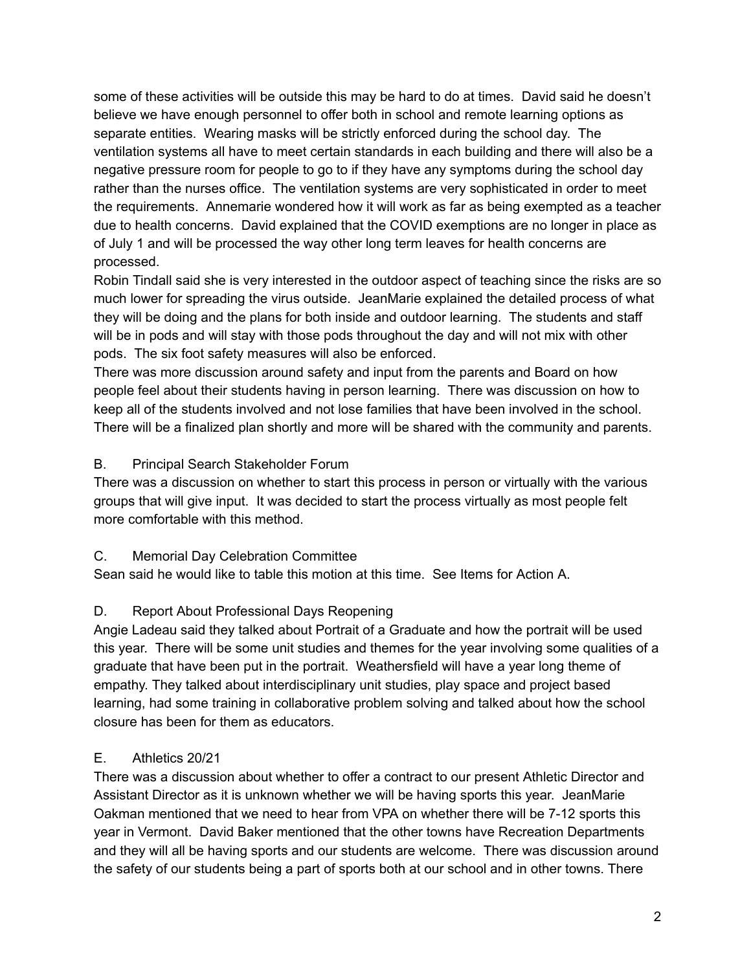some of these activities will be outside this may be hard to do at times. David said he doesn't believe we have enough personnel to offer both in school and remote learning options as separate entities. Wearing masks will be strictly enforced during the school day. The ventilation systems all have to meet certain standards in each building and there will also be a negative pressure room for people to go to if they have any symptoms during the school day rather than the nurses office. The ventilation systems are very sophisticated in order to meet the requirements. Annemarie wondered how it will work as far as being exempted as a teacher due to health concerns. David explained that the COVID exemptions are no longer in place as of July 1 and will be processed the way other long term leaves for health concerns are processed.

Robin Tindall said she is very interested in the outdoor aspect of teaching since the risks are so much lower for spreading the virus outside. JeanMarie explained the detailed process of what they will be doing and the plans for both inside and outdoor learning. The students and staff will be in pods and will stay with those pods throughout the day and will not mix with other pods. The six foot safety measures will also be enforced.

There was more discussion around safety and input from the parents and Board on how people feel about their students having in person learning. There was discussion on how to keep all of the students involved and not lose families that have been involved in the school. There will be a finalized plan shortly and more will be shared with the community and parents.

#### B. Principal Search Stakeholder Forum

There was a discussion on whether to start this process in person or virtually with the various groups that will give input. It was decided to start the process virtually as most people felt more comfortable with this method.

#### C. Memorial Day Celebration Committee

Sean said he would like to table this motion at this time. See Items for Action A.

# D. Report About Professional Days Reopening

Angie Ladeau said they talked about Portrait of a Graduate and how the portrait will be used this year. There will be some unit studies and themes for the year involving some qualities of a graduate that have been put in the portrait. Weathersfield will have a year long theme of empathy. They talked about interdisciplinary unit studies, play space and project based learning, had some training in collaborative problem solving and talked about how the school closure has been for them as educators.

# E. Athletics 20/21

There was a discussion about whether to offer a contract to our present Athletic Director and Assistant Director as it is unknown whether we will be having sports this year. JeanMarie Oakman mentioned that we need to hear from VPA on whether there will be 7-12 sports this year in Vermont. David Baker mentioned that the other towns have Recreation Departments and they will all be having sports and our students are welcome. There was discussion around the safety of our students being a part of sports both at our school and in other towns. There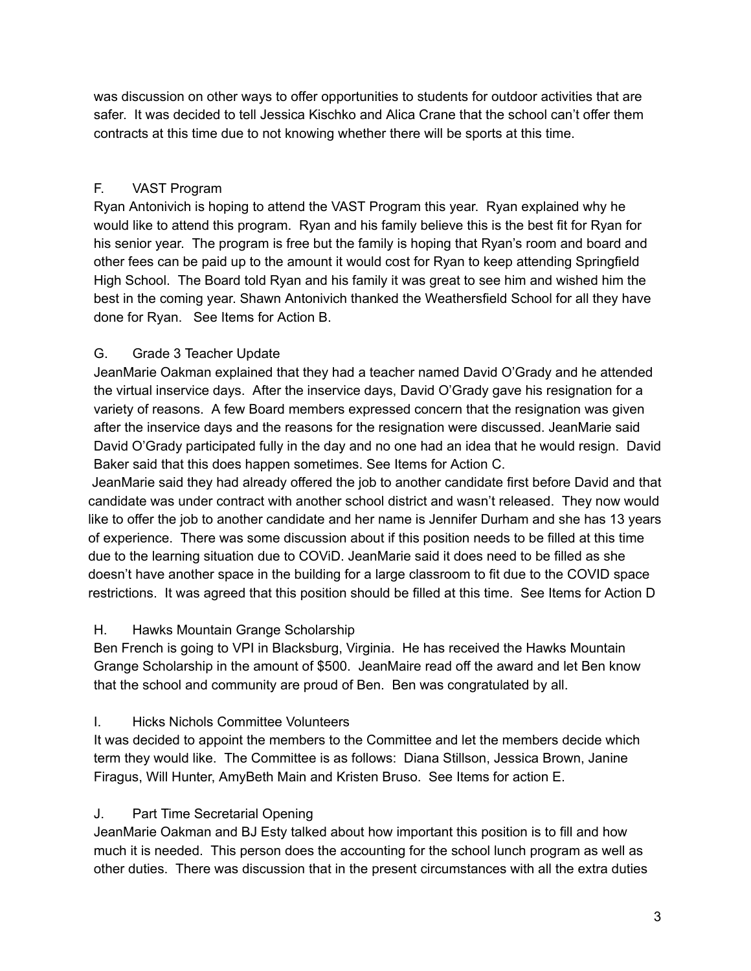was discussion on other ways to offer opportunities to students for outdoor activities that are safer. It was decided to tell Jessica Kischko and Alica Crane that the school can't offer them contracts at this time due to not knowing whether there will be sports at this time.

# F. VAST Program

Ryan Antonivich is hoping to attend the VAST Program this year. Ryan explained why he would like to attend this program. Ryan and his family believe this is the best fit for Ryan for his senior year. The program is free but the family is hoping that Ryan's room and board and other fees can be paid up to the amount it would cost for Ryan to keep attending Springfield High School. The Board told Ryan and his family it was great to see him and wished him the best in the coming year. Shawn Antonivich thanked the Weathersfield School for all they have done for Ryan. See Items for Action B.

# G. Grade 3 Teacher Update

JeanMarie Oakman explained that they had a teacher named David O'Grady and he attended the virtual inservice days. After the inservice days, David O'Grady gave his resignation for a variety of reasons. A few Board members expressed concern that the resignation was given after the inservice days and the reasons for the resignation were discussed. JeanMarie said David O'Grady participated fully in the day and no one had an idea that he would resign. David Baker said that this does happen sometimes. See Items for Action C.

JeanMarie said they had already offered the job to another candidate first before David and that candidate was under contract with another school district and wasn't released. They now would like to offer the job to another candidate and her name is Jennifer Durham and she has 13 years of experience. There was some discussion about if this position needs to be filled at this time due to the learning situation due to COViD. JeanMarie said it does need to be filled as she doesn't have another space in the building for a large classroom to fit due to the COVID space restrictions. It was agreed that this position should be filled at this time. See Items for Action D

#### H. Hawks Mountain Grange Scholarship

Ben French is going to VPI in Blacksburg, Virginia. He has received the Hawks Mountain Grange Scholarship in the amount of \$500. JeanMaire read off the award and let Ben know that the school and community are proud of Ben. Ben was congratulated by all.

# I. Hicks Nichols Committee Volunteers

It was decided to appoint the members to the Committee and let the members decide which term they would like. The Committee is as follows: Diana Stillson, Jessica Brown, Janine Firagus, Will Hunter, AmyBeth Main and Kristen Bruso. See Items for action E.

# J. Part Time Secretarial Opening

JeanMarie Oakman and BJ Esty talked about how important this position is to fill and how much it is needed. This person does the accounting for the school lunch program as well as other duties. There was discussion that in the present circumstances with all the extra duties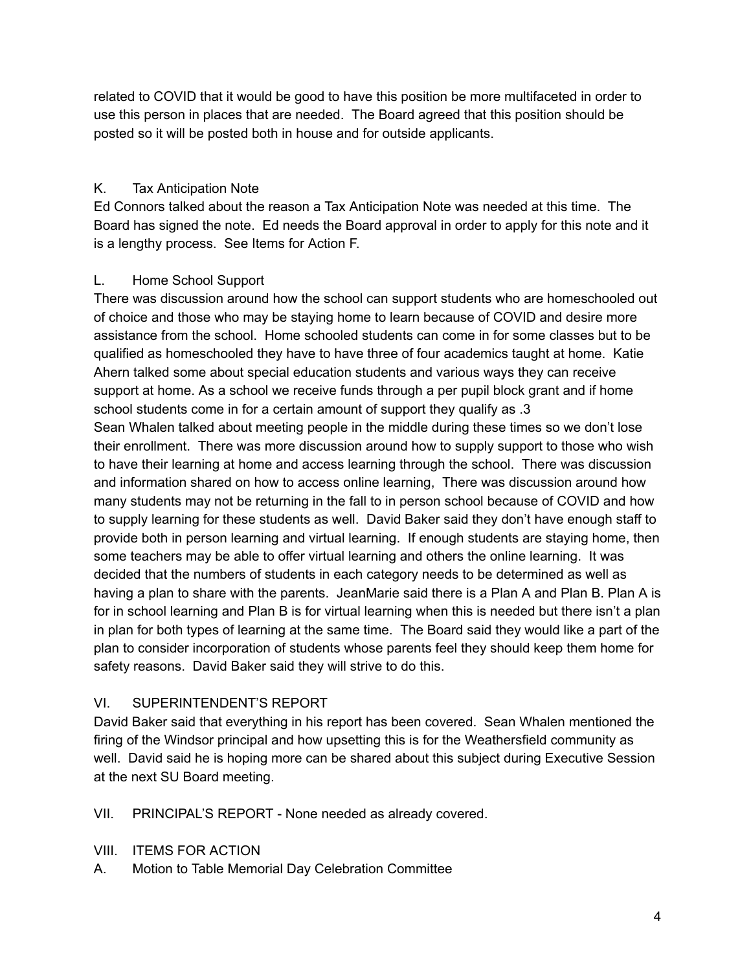related to COVID that it would be good to have this position be more multifaceted in order to use this person in places that are needed. The Board agreed that this position should be posted so it will be posted both in house and for outside applicants.

#### K. Tax Anticipation Note

Ed Connors talked about the reason a Tax Anticipation Note was needed at this time. The Board has signed the note. Ed needs the Board approval in order to apply for this note and it is a lengthy process. See Items for Action F.

#### L. Home School Support

There was discussion around how the school can support students who are homeschooled out of choice and those who may be staying home to learn because of COVID and desire more assistance from the school. Home schooled students can come in for some classes but to be qualified as homeschooled they have to have three of four academics taught at home. Katie Ahern talked some about special education students and various ways they can receive support at home. As a school we receive funds through a per pupil block grant and if home school students come in for a certain amount of support they qualify as .3 Sean Whalen talked about meeting people in the middle during these times so we don't lose their enrollment. There was more discussion around how to supply support to those who wish to have their learning at home and access learning through the school. There was discussion and information shared on how to access online learning, There was discussion around how many students may not be returning in the fall to in person school because of COVID and how to supply learning for these students as well. David Baker said they don't have enough staff to provide both in person learning and virtual learning. If enough students are staying home, then some teachers may be able to offer virtual learning and others the online learning. It was decided that the numbers of students in each category needs to be determined as well as having a plan to share with the parents. JeanMarie said there is a Plan A and Plan B. Plan A is for in school learning and Plan B is for virtual learning when this is needed but there isn't a plan in plan for both types of learning at the same time. The Board said they would like a part of the plan to consider incorporation of students whose parents feel they should keep them home for safety reasons. David Baker said they will strive to do this.

# VI. SUPERINTENDENT'S REPORT

David Baker said that everything in his report has been covered. Sean Whalen mentioned the firing of the Windsor principal and how upsetting this is for the Weathersfield community as well. David said he is hoping more can be shared about this subject during Executive Session at the next SU Board meeting.

VII. PRINCIPAL'S REPORT - None needed as already covered.

- VIII. ITEMS FOR ACTION
- A. Motion to Table Memorial Day Celebration Committee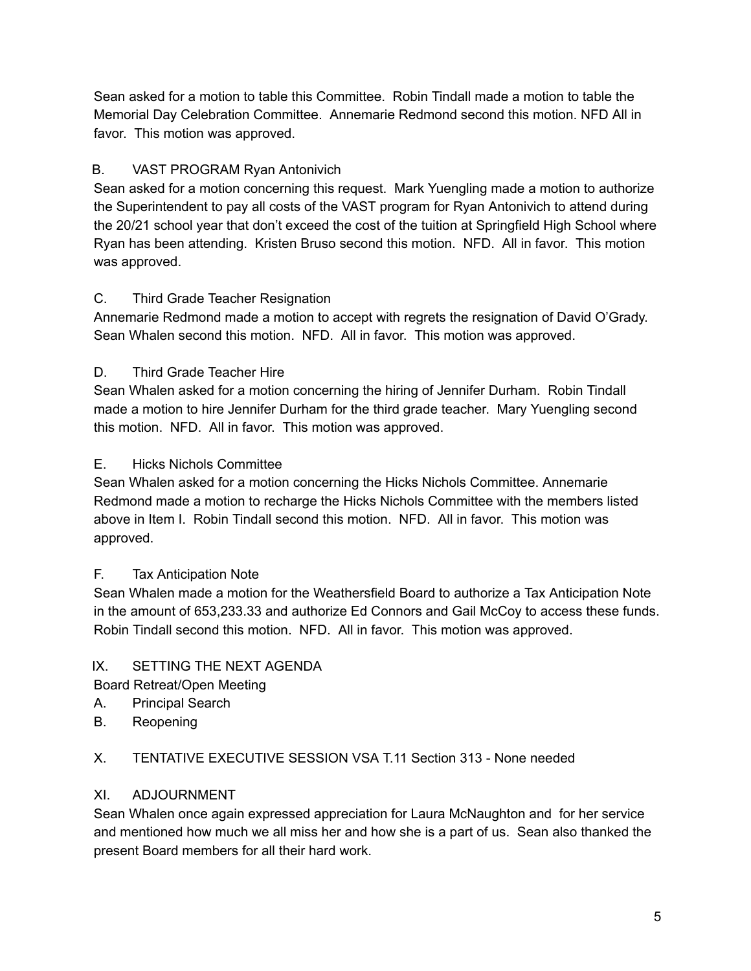Sean asked for a motion to table this Committee. Robin Tindall made a motion to table the Memorial Day Celebration Committee. Annemarie Redmond second this motion. NFD All in favor. This motion was approved.

# B. VAST PROGRAM Ryan Antonivich

Sean asked for a motion concerning this request. Mark Yuengling made a motion to authorize the Superintendent to pay all costs of the VAST program for Ryan Antonivich to attend during the 20/21 school year that don't exceed the cost of the tuition at Springfield High School where Ryan has been attending. Kristen Bruso second this motion. NFD. All in favor. This motion was approved.

# C. Third Grade Teacher Resignation

Annemarie Redmond made a motion to accept with regrets the resignation of David O'Grady. Sean Whalen second this motion. NFD. All in favor. This motion was approved.

# D. Third Grade Teacher Hire

Sean Whalen asked for a motion concerning the hiring of Jennifer Durham. Robin Tindall made a motion to hire Jennifer Durham for the third grade teacher. Mary Yuengling second this motion. NFD. All in favor. This motion was approved.

# E. Hicks Nichols Committee

Sean Whalen asked for a motion concerning the Hicks Nichols Committee. Annemarie Redmond made a motion to recharge the Hicks Nichols Committee with the members listed above in Item I. Robin Tindall second this motion. NFD. All in favor. This motion was approved.

# F. Tax Anticipation Note

Sean Whalen made a motion for the Weathersfield Board to authorize a Tax Anticipation Note in the amount of 653,233.33 and authorize Ed Connors and Gail McCoy to access these funds. Robin Tindall second this motion. NFD. All in favor. This motion was approved.

# IX. SETTING THE NEXT AGENDA

Board Retreat/Open Meeting

- A. Principal Search
- B. Reopening

# X. TENTATIVE EXECUTIVE SESSION VSA T.11 Section 313 - None needed

# XI. ADJOURNMENT

Sean Whalen once again expressed appreciation for Laura McNaughton and for her service and mentioned how much we all miss her and how she is a part of us. Sean also thanked the present Board members for all their hard work.